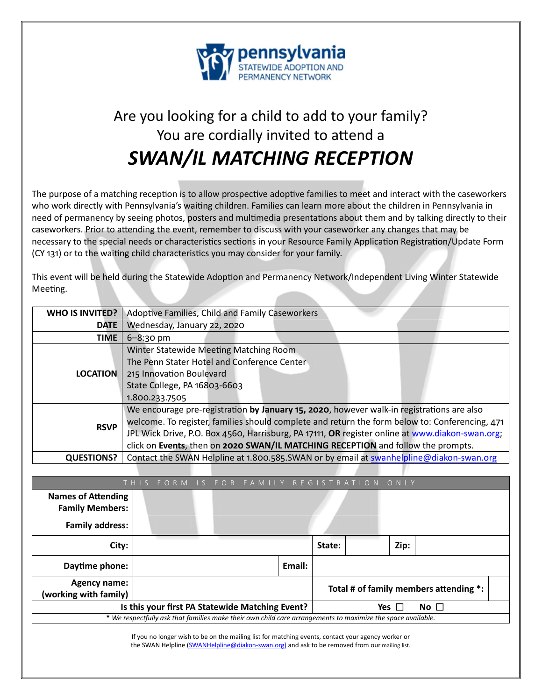

# Are you looking for a child to add to your family? You are cordially invited to attend a *SWAN/IL MATCHING RECEPTION*

The purpose of a matching reception is to allow prospective adoptive families to meet and interact with the caseworkers who work directly with Pennsylvania's waiting children. Families can learn more about the children in Pennsylvania in need of permanency by seeing photos, posters and multimedia presentations about them and by talking directly to their caseworkers. Prior to attending the event, remember to discuss with your caseworker any changes that may be necessary to the special needs or characteristics sections in your Resource Family Application Registration/Update Form (CY 131) or to the waiting child characteristics you may consider for your family.

This event will be held during the Statewide Adoption and Permanency Network/Independent Living Winter Statewide Meeting.

| <b>WHO IS INVITED?</b> | Adoptive Families, Child and Family Caseworkers                                                 |  |  |  |  |
|------------------------|-------------------------------------------------------------------------------------------------|--|--|--|--|
|                        |                                                                                                 |  |  |  |  |
| <b>DATE</b>            | Wednesday, January 22, 2020                                                                     |  |  |  |  |
| <b>TIME</b>            | $6 - 8:30$ pm                                                                                   |  |  |  |  |
| <b>LOCATION</b>        | Winter Statewide Meeting Matching Room                                                          |  |  |  |  |
|                        | The Penn Stater Hotel and Conference Center                                                     |  |  |  |  |
|                        | 215 Innovation Boulevard                                                                        |  |  |  |  |
|                        | State College, PA 16803-6603                                                                    |  |  |  |  |
|                        | 1.800.233.7505                                                                                  |  |  |  |  |
| <b>RSVP</b>            | We encourage pre-registration by January 15, 2020, however walk-in registrations are also       |  |  |  |  |
|                        | welcome. To register, families should complete and return the form below to: Conferencing, 471  |  |  |  |  |
|                        | JPL Wick Drive, P.O. Box 4560, Harrisburg, PA 17111, OR register online at www.diakon-swan.org; |  |  |  |  |
|                        | click on Events, then on 2020 SWAN/IL MATCHING RECEPTION and follow the prompts.                |  |  |  |  |
| <b>QUESTIONS?</b>      | Contact the SWAN Helpline at 1.800.585.SWAN or by email at swanhelpline@diakon-swan.org         |  |  |  |  |

|                                                                                                             | FORM IS |  |  |  |        |        | FOR FAMILY REGISTRATION ONLY |               |                                        |  |
|-------------------------------------------------------------------------------------------------------------|---------|--|--|--|--------|--------|------------------------------|---------------|----------------------------------------|--|
| <b>Names of Attending</b><br><b>Family Members:</b>                                                         |         |  |  |  |        |        |                              |               |                                        |  |
| <b>Family address:</b>                                                                                      |         |  |  |  |        |        |                              |               |                                        |  |
| City:                                                                                                       |         |  |  |  |        | State: |                              | Zip:          |                                        |  |
| Daytime phone:                                                                                              |         |  |  |  | Email: |        |                              |               |                                        |  |
| <b>Agency name:</b><br>(working with family)                                                                |         |  |  |  |        |        |                              |               | Total # of family members attending *: |  |
| Is this your first PA Statewide Matching Event?                                                             |         |  |  |  |        |        |                              | Yes $\square$ | No $\square$                           |  |
| * We respectfully ask that families make their own child care arrangements to maximize the space available. |         |  |  |  |        |        |                              |               |                                        |  |

If you no longer wish to be on the mailing list for matching events, contact your agency worker or the SWAN Helpline (SWANHelpline@diakon-swan.org) and ask to be removed from our mailing list.